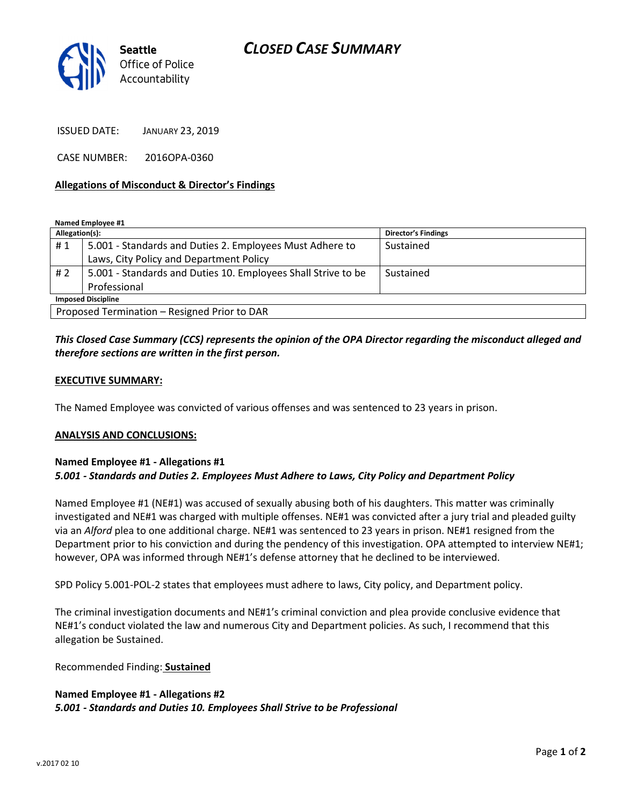# CLOSED CASE SUMMARY



ISSUED DATE: JANUARY 23, 2019

CASE NUMBER: 2016OPA-0360

### Allegations of Misconduct & Director's Findings

Named Employee #1

| Allegation(s):                               |                                                               | <b>Director's Findings</b> |
|----------------------------------------------|---------------------------------------------------------------|----------------------------|
| #1                                           | 5.001 - Standards and Duties 2. Employees Must Adhere to      | Sustained                  |
|                                              | Laws, City Policy and Department Policy                       |                            |
| #2                                           | 5.001 - Standards and Duties 10. Employees Shall Strive to be | Sustained                  |
|                                              | Professional                                                  |                            |
| <b>Imposed Discipline</b>                    |                                                               |                            |
| Proposed Termination - Resigned Prior to DAR |                                                               |                            |

# This Closed Case Summary (CCS) represents the opinion of the OPA Director regarding the misconduct alleged and therefore sections are written in the first person.

#### EXECUTIVE SUMMARY:

The Named Employee was convicted of various offenses and was sentenced to 23 years in prison.

#### ANALYSIS AND CONCLUSIONS:

### Named Employee #1 - Allegations #1 5.001 - Standards and Duties 2. Employees Must Adhere to Laws, City Policy and Department Policy

Named Employee #1 (NE#1) was accused of sexually abusing both of his daughters. This matter was criminally investigated and NE#1 was charged with multiple offenses. NE#1 was convicted after a jury trial and pleaded guilty via an Alford plea to one additional charge. NE#1 was sentenced to 23 years in prison. NE#1 resigned from the Department prior to his conviction and during the pendency of this investigation. OPA attempted to interview NE#1; however, OPA was informed through NE#1's defense attorney that he declined to be interviewed.

SPD Policy 5.001-POL-2 states that employees must adhere to laws, City policy, and Department policy.

The criminal investigation documents and NE#1's criminal conviction and plea provide conclusive evidence that NE#1's conduct violated the law and numerous City and Department policies. As such, I recommend that this allegation be Sustained.

Recommended Finding: Sustained

## Named Employee #1 - Allegations #2 5.001 - Standards and Duties 10. Employees Shall Strive to be Professional